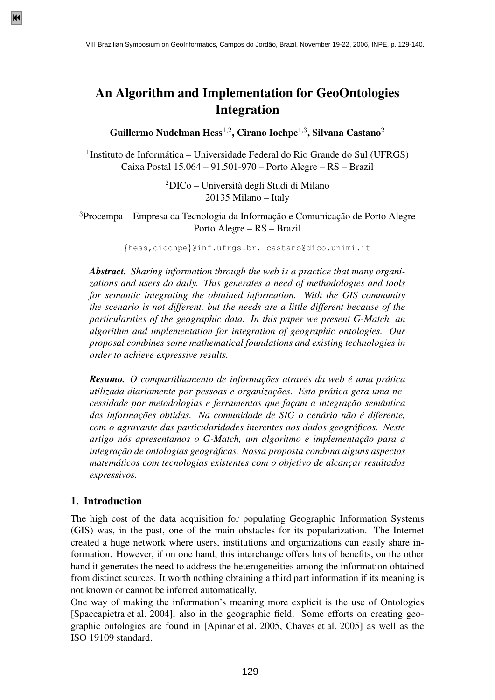# An Algorithm and Implementation for GeoOntologies Integration

Guillermo Nudelman Hess<sup>1,2</sup>, Cirano Iochpe<sup>1,3</sup>, Silvana Castano<sup>2</sup>

<sup>1</sup>Instituto de Informática – Universidade Federal do Rio Grande do Sul (UFRGS) Caixa Postal 15.064 – 91.501-970 – Porto Alegre – RS – Brazil

> $2$ DICo – Università degli Studi di Milano 20135 Milano – Italy

<sup>3</sup>Procempa – Empresa da Tecnologia da Informação e Comunicação de Porto Alegre Porto Alegre – RS – Brazil

{hess,ciochpe}@inf.ufrgs.br, castano@dico.unimi.it

*Abstract. Sharing information through the web is a practice that many organizations and users do daily. This generates a need of methodologies and tools for semantic integrating the obtained information. With the GIS community the scenario is not different, but the needs are a little different because of the particularities of the geographic data. In this paper we present G-Match, an algorithm and implementation for integration of geographic ontologies. Our proposal combines some mathematical foundations and existing technologies in order to achieve expressive results.*

*Resumo. O compartilhamento de informações através da web é uma prática utilizada diariamente por pessoas e organizac¸oes. Esta pr ˜ atica gera uma ne- ´*  $c$ *essidade por metodologias e ferramentas que façam a integração semântica das informac¸oes obtidas. Na comunidade de SIG o cen ˜ ario n ´ ao˜ e diferente, ´ com o agravante das particularidades inerentes aos dados geograficos. Neste ´ artigo nós apresentamos o G-Match, um algoritmo e implementação para a integrac¸ao de ontologias geogr ˜ aficas. Nossa proposta combina alguns aspectos ´ matematicos com tecnologias existentes com o objetivo de alcanc¸ar resultados ´ expressivos.*

#### 1. Introduction

The high cost of the data acquisition for populating Geographic Information Systems (GIS) was, in the past, one of the main obstacles for its popularization. The Internet created a huge network where users, institutions and organizations can easily share information. However, if on one hand, this interchange offers lots of benefits, on the other hand it generates the need to address the heterogeneities among the information obtained from distinct sources. It worth nothing obtaining a third part information if its meaning is not known or cannot be inferred automatically.

One way of making the information's meaning more explicit is the use of Ontologies [Spaccapietra et al. 2004], also in the geographic field. Some efforts on creating geographic ontologies are found in [Apinar et al. 2005, Chaves et al. 2005] as well as the ISO 19109 standard.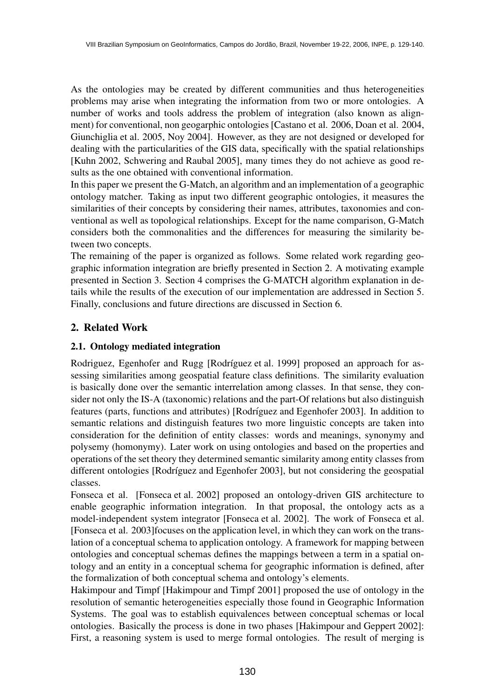As the ontologies may be created by different communities and thus heterogeneities problems may arise when integrating the information from two or more ontologies. A number of works and tools address the problem of integration (also known as alignment) for conventional, non geogarphic ontologies [Castano et al. 2006, Doan et al. 2004, Giunchiglia et al. 2005, Noy 2004]. However, as they are not designed or developed for dealing with the particularities of the GIS data, specifically with the spatial relationships [Kuhn 2002, Schwering and Raubal 2005], many times they do not achieve as good results as the one obtained with conventional information.

In this paper we present the G-Match, an algorithm and an implementation of a geographic ontology matcher. Taking as input two different geographic ontologies, it measures the similarities of their concepts by considering their names, attributes, taxonomies and conventional as well as topological relationships. Except for the name comparison, G-Match considers both the commonalities and the differences for measuring the similarity between two concepts.

The remaining of the paper is organized as follows. Some related work regarding geographic information integration are briefly presented in Section 2. A motivating example presented in Section 3. Section 4 comprises the G-MATCH algorithm explanation in details while the results of the execution of our implementation are addressed in Section 5. Finally, conclusions and future directions are discussed in Section 6.

## 2. Related Work

## 2.1. Ontology mediated integration

Rodriguez, Egenhofer and Rugg [Rodríguez et al. 1999] proposed an approach for assessing similarities among geospatial feature class definitions. The similarity evaluation is basically done over the semantic interrelation among classes. In that sense, they consider not only the IS-A (taxonomic) relations and the part-Of relations but also distinguish features (parts, functions and attributes) [Rodríguez and Egenhofer 2003]. In addition to semantic relations and distinguish features two more linguistic concepts are taken into consideration for the definition of entity classes: words and meanings, synonymy and polysemy (homonymy). Later work on using ontologies and based on the properties and operations of the set theory they determined semantic similarity among entity classes from different ontologies [Rodríguez and Egenhofer 2003], but not considering the geospatial classes.

Fonseca et al. [Fonseca et al. 2002] proposed an ontology-driven GIS architecture to enable geographic information integration. In that proposal, the ontology acts as a model-independent system integrator [Fonseca et al. 2002]. The work of Fonseca et al. [Fonseca et al. 2003]focuses on the application level, in which they can work on the translation of a conceptual schema to application ontology. A framework for mapping between ontologies and conceptual schemas defines the mappings between a term in a spatial ontology and an entity in a conceptual schema for geographic information is defined, after the formalization of both conceptual schema and ontology's elements.

Hakimpour and Timpf [Hakimpour and Timpf 2001] proposed the use of ontology in the resolution of semantic heterogeneities especially those found in Geographic Information Systems. The goal was to establish equivalences between conceptual schemas or local ontologies. Basically the process is done in two phases [Hakimpour and Geppert 2002]: First, a reasoning system is used to merge formal ontologies. The result of merging is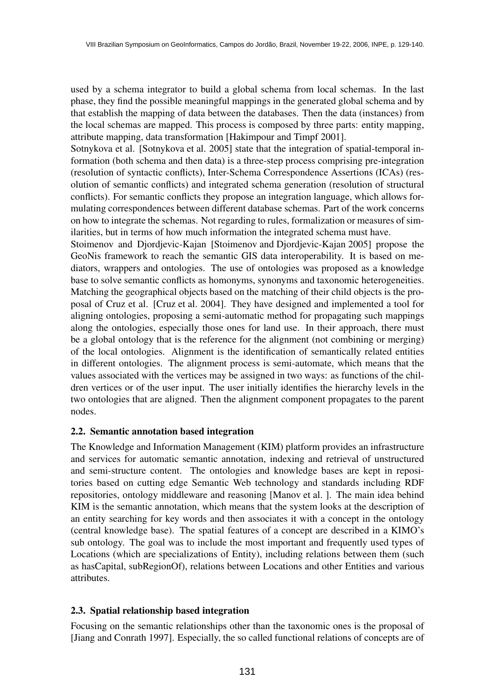used by a schema integrator to build a global schema from local schemas. In the last phase, they find the possible meaningful mappings in the generated global schema and by that establish the mapping of data between the databases. Then the data (instances) from the local schemas are mapped. This process is composed by three parts: entity mapping, attribute mapping, data transformation [Hakimpour and Timpf 2001].

Sotnykova et al. [Sotnykova et al. 2005] state that the integration of spatial-temporal information (both schema and then data) is a three-step process comprising pre-integration (resolution of syntactic conflicts), Inter-Schema Correspondence Assertions (ICAs) (resolution of semantic conflicts) and integrated schema generation (resolution of structural conflicts). For semantic conflicts they propose an integration language, which allows formulating correspondences between different database schemas. Part of the work concerns on how to integrate the schemas. Not regarding to rules, formalization or measures of similarities, but in terms of how much information the integrated schema must have.

Stoimenov and Djordjevic-Kajan [Stoimenov and Djordjevic-Kajan 2005] propose the GeoNis framework to reach the semantic GIS data interoperability. It is based on mediators, wrappers and ontologies. The use of ontologies was proposed as a knowledge base to solve semantic conflicts as homonyms, synonyms and taxonomic heterogeneities. Matching the geographical objects based on the matching of their child objects is the proposal of Cruz et al. [Cruz et al. 2004]. They have designed and implemented a tool for aligning ontologies, proposing a semi-automatic method for propagating such mappings along the ontologies, especially those ones for land use. In their approach, there must be a global ontology that is the reference for the alignment (not combining or merging) of the local ontologies. Alignment is the identification of semantically related entities in different ontologies. The alignment process is semi-automate, which means that the values associated with the vertices may be assigned in two ways: as functions of the children vertices or of the user input. The user initially identifies the hierarchy levels in the two ontologies that are aligned. Then the alignment component propagates to the parent nodes.

#### 2.2. Semantic annotation based integration

The Knowledge and Information Management (KIM) platform provides an infrastructure and services for automatic semantic annotation, indexing and retrieval of unstructured and semi-structure content. The ontologies and knowledge bases are kept in repositories based on cutting edge Semantic Web technology and standards including RDF repositories, ontology middleware and reasoning [Manov et al. ]. The main idea behind KIM is the semantic annotation, which means that the system looks at the description of an entity searching for key words and then associates it with a concept in the ontology (central knowledge base). The spatial features of a concept are described in a KIMO's sub ontology. The goal was to include the most important and frequently used types of Locations (which are specializations of Entity), including relations between them (such as hasCapital, subRegionOf), relations between Locations and other Entities and various attributes.

## 2.3. Spatial relationship based integration

Focusing on the semantic relationships other than the taxonomic ones is the proposal of [Jiang and Conrath 1997]. Especially, the so called functional relations of concepts are of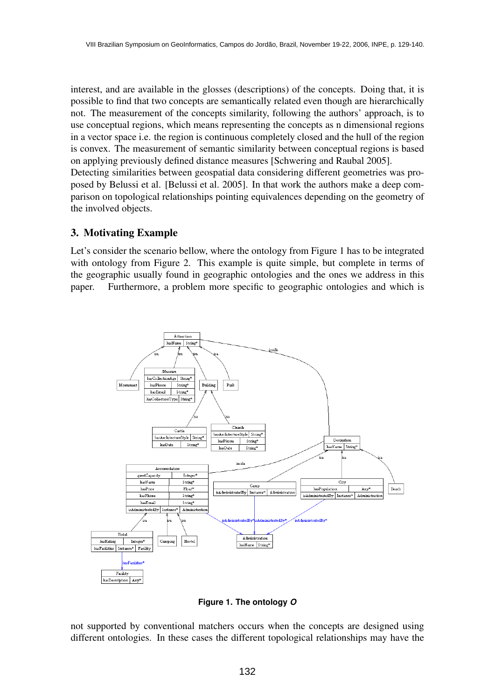interest, and are available in the glosses (descriptions) of the concepts. Doing that, it is possible to find that two concepts are semantically related even though are hierarchically not. The measurement of the concepts similarity, following the authors' approach, is to use conceptual regions, which means representing the concepts as n dimensional regions in a vector space i.e. the region is continuous completely closed and the hull of the region is convex. The measurement of semantic similarity between conceptual regions is based on applying previously defined distance measures [Schwering and Raubal 2005]. Detecting similarities between geospatial data considering different geometries was proposed by Belussi et al. [Belussi et al. 2005]. In that work the authors make a deep comparison on topological relationships pointing equivalences depending on the geometry of the involved objects.

## 3. Motivating Example

Let's consider the scenario bellow, where the ontology from Figure 1 has to be integrated with ontology from Figure 2. This example is quite simple, but complete in terms of the geographic usually found in geographic ontologies and the ones we address in this paper. Furthermore, a problem more specific to geographic ontologies and which is



**Figure 1. The ontology** *O*

not supported by conventional matchers occurs when the concepts are designed using different ontologies. In these cases the different topological relationships may have the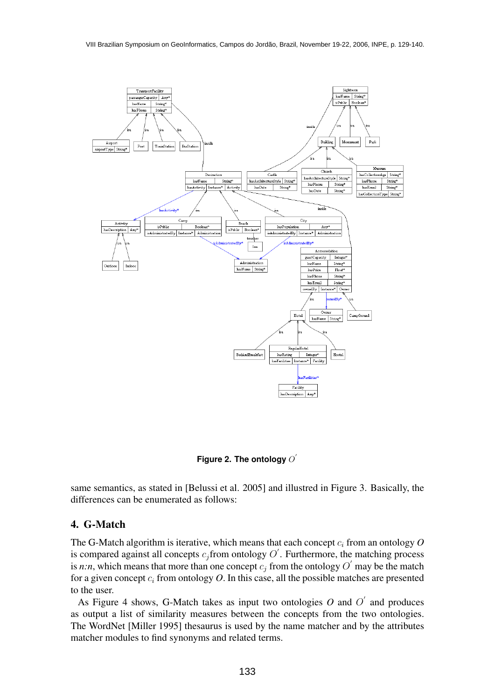

**Figure 2. The ontology**  $O'$ 

same semantics, as stated in [Belussi et al. 2005] and illustred in Figure 3. Basically, the differences can be enumerated as follows:

#### 4. G-Match

The G-Match algorithm is iterative, which means that each concept  $c_i$  from an ontology  $O$ is compared against all concepts  $c_j$  from ontology  $O'$ . Furthermore, the matching process is *n*:*n*, which means that more than one concept  $c_j$  from the ontology  $O'$  may be the match for a given concept  $c_i$  from ontology  $O$ . In this case, all the possible matches are presented to the user.

As Figure 4 shows, G-Match takes as input two ontologies  $O$  and  $O'$  and produces as output a list of similarity measures between the concepts from the two ontologies. The WordNet [Miller 1995] thesaurus is used by the name matcher and by the attributes matcher modules to find synonyms and related terms.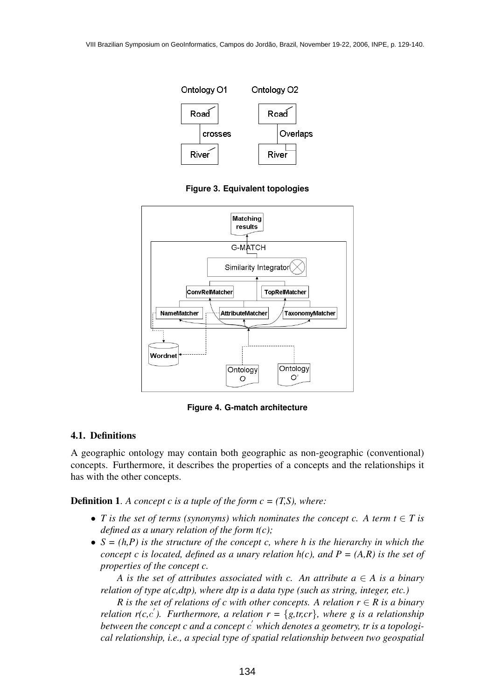





**Figure 4. G-match architecture**

#### 4.1. Definitions

A geographic ontology may contain both geographic as non-geographic (conventional) concepts. Furthermore, it describes the properties of a concepts and the relationships it has with the other concepts.

Definition 1. *A concept c is a tuple of the form c = (T,S), where:*

- *T* is the set of terms (synonyms) which nominates the concept c. A term  $t \in T$  is *defined as a unary relation of the form t(c);*
- $\bullet$   $S = (h, P)$  is the structure of the concept c, where h is the hierarchy in which the *concept c is located, defined as a unary relation*  $h(c)$ *, and*  $P = (A,R)$  *is the set of properties of the concept c.*

*A* is the set of attributes associated with c. An attribute  $a \in A$  is a binary *relation of type a(c,dtp), where dtp is a data type (such as string, integer, etc.)*

*R* is the set of relations of c with other concepts. A relation  $r \in R$  is a binary *relation r(c,c'). Furthermore, a relation r = {* $g, tr, cr$ *}, where g is a relationship* between the concept c and a concept c' which denotes a geometry, tr is a topologi*cal relationship, i.e., a special type of spatial relationship between two geospatial*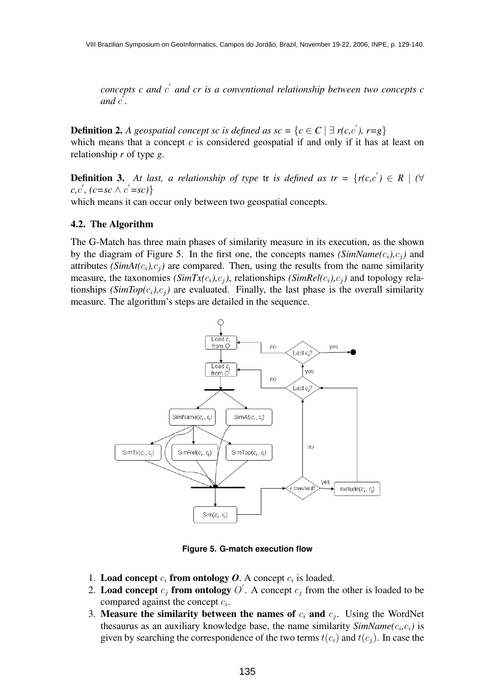*concepts c and c' and cr is a conventional relationship between two concepts c* and  $\overline{c}$ .

**Definition 2.** A geospatial concept sc is defined as sc = { $c \in C \mid \exists r(c, c')$ , r=g} which means that a concept *c* is considered geospatial if and only if it has at least on relationship *r* of type *g*.

**Definition 3.** At last, a relationship of type tr is defined as tr =  $\{r(c,c') \in R \mid (\forall c') \in R \mid c \in R\}$  $c, c', (c = sc \land c' = sc)$ 

which means it can occur only between two geospatial concepts.

#### 4.2. The Algorithm

The G-Match has three main phases of similarity measure in its execution, as the shown by the diagram of Figure 5. In the first one, the concepts names *(SimName(c<sub>i</sub>),c<sub>i</sub>)* and attributes *(SimAt(c<sub>i</sub>),c<sub>i</sub>)* are compared. Then, using the results from the name similarity measure, the taxonomies *(SimTx(c<sub>i</sub>),c<sub>i</sub>)*, relationships *(SimRel(c<sub>i</sub>),c<sub>i</sub>)* and topology relationships *(SimTop(c<sub>i</sub>),c<sub>i</sub>)* are evaluated. Finally, the last phase is the overall similarity measure. The algorithm's steps are detailed in the sequence.



**Figure 5. G-match execution flow**

- 1. Load concept  $c_i$  from ontology  $O$ . A concept  $c_i$  is loaded.
- 2. Load concept  $c_j$  from ontology  $O'$ . A concept  $c_j$  from the other is loaded to be compared against the concept  $c_i$ .
- 3. Measure the similarity between the names of  $c_i$  and  $c_j$ . Using the WordNet thesaurus as an auxiliary knowledge base, the name similarity  $SimName(c_i, c_i)$  is given by searching the correspondence of the two terms  $t(c_i)$  and  $t(c_j)$ . In case the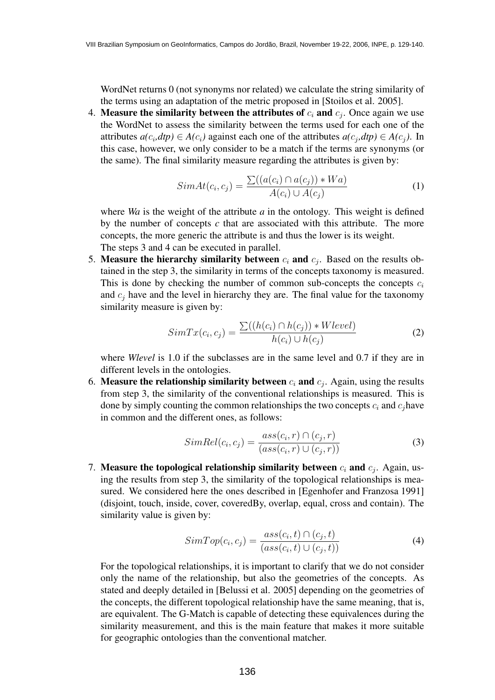WordNet returns 0 (not synonyms nor related) we calculate the string similarity of the terms using an adaptation of the metric proposed in [Stoilos et al. 2005].

4. Measure the similarity between the attributes of  $c_i$  and  $c_j$ . Once again we use the WordNet to assess the similarity between the terms used for each one of the attributes  $a(c_i, dtp) \in A(c_i)$  against each one of the attributes  $a(c_i, dtp) \in A(c_i)$ . In this case, however, we only consider to be a match if the terms are synonyms (or the same). The final similarity measure regarding the attributes is given by:

$$
SimAt(c_i, c_j) = \frac{\sum((a(c_i) \cap a(c_j)) * Wa)}{A(c_i) \cup A(c_j)}
$$
(1)

where *Wa* is the weight of the attribute *a* in the ontology. This weight is defined by the number of concepts *c* that are associated with this attribute. The more concepts, the more generic the attribute is and thus the lower is its weight. The steps 3 and 4 can be executed in parallel.

5. Measure the hierarchy similarity between  $c_i$  and  $c_j$ . Based on the results obtained in the step 3, the similarity in terms of the concepts taxonomy is measured. This is done by checking the number of common sub-concepts the concepts  $c_i$ and  $c_i$  have and the level in hierarchy they are. The final value for the taxonomy similarity measure is given by:

$$
SimTx(c_i, c_j) = \frac{\sum((h(c_i) \cap h(c_j)) * Wlevel)}{h(c_i) \cup h(c_j)}
$$
\n(2)

where *Wlevel* is 1.0 if the subclasses are in the same level and 0.7 if they are in different levels in the ontologies.

6. Measure the relationship similarity between  $c_i$  and  $c_j$ . Again, using the results from step 3, the similarity of the conventional relationships is measured. This is done by simply counting the common relationships the two concepts  $c_i$  and  $c_j$  have in common and the different ones, as follows:

$$
SimRel(c_i, c_j) = \frac{ass(c_i, r) \cap (c_j, r)}{(ass(c_i, r) \cup (c_j, r))}
$$
\n
$$
(3)
$$

7. Measure the topological relationship similarity between  $c_i$  and  $c_j$ . Again, using the results from step 3, the similarity of the topological relationships is measured. We considered here the ones described in [Egenhofer and Franzosa 1991] (disjoint, touch, inside, cover, coveredBy, overlap, equal, cross and contain). The similarity value is given by:

$$
SimTop(c_i, c_j) = \frac{ass(c_i, t) \cap (c_j, t)}{(ass(c_i, t) \cup (c_j, t))}
$$
\n
$$
(4)
$$

For the topological relationships, it is important to clarify that we do not consider only the name of the relationship, but also the geometries of the concepts. As stated and deeply detailed in [Belussi et al. 2005] depending on the geometries of the concepts, the different topological relationship have the same meaning, that is, are equivalent. The G-Match is capable of detecting these equivalences during the similarity measurement, and this is the main feature that makes it more suitable for geographic ontologies than the conventional matcher.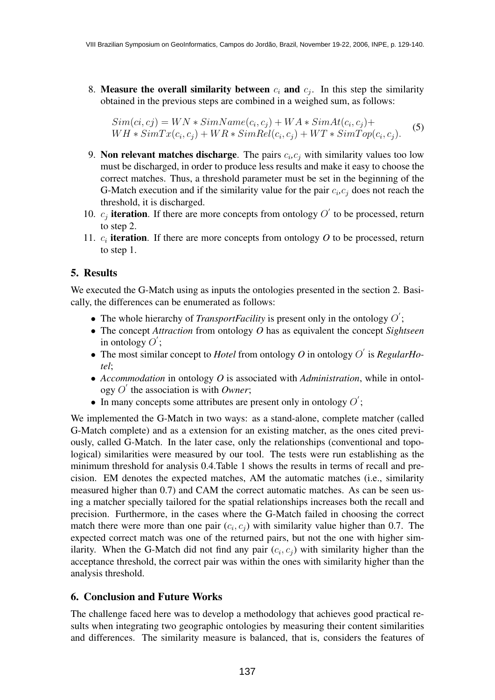8. Measure the overall similarity between  $c_i$  and  $c_j$ . In this step the similarity obtained in the previous steps are combined in a weighed sum, as follows:

 $Sim(ci, cj) = WN * SimName(c_i, c_j) + WA * SimAt(c_i, c_j) +$  $U_{i}(c_{i}, c_{j}) = W_{i} + \delta_{i}$  substituting  $c_{i}, c_{j} + W_{i} + \delta_{i}$  substitution  $W_{i} + \delta_{i}$  (5)<br>  $W_{i} + \delta_{i}$   $W_{i} + \delta_{i}$   $W_{i} + \delta_{i}$   $W_{i} + \delta_{i}$   $W_{i}$   $W_{i} + \delta_{i}$   $W_{i}$   $W_{i}$   $W_{i}$   $W_{i}$   $W_{i}$   $W_{i}$   $W_{i}$   $W_{i}$ 

- 9. Non relevant matches discharge. The pairs  $c_i, c_j$  with similarity values too low must be discharged, in order to produce less results and make it easy to choose the correct matches. Thus, a threshold parameter must be set in the beginning of the G-Match execution and if the similarity value for the pair  $c_i, c_j$  does not reach the threshold, it is discharged.
- 10.  $c_j$  iteration. If there are more concepts from ontology  $O'$  to be processed, return to step 2.
- 11.  $c_i$  **iteration**. If there are more concepts from ontology  $O$  to be processed, return to step 1.

## 5. Results

We executed the G-Match using as inputs the ontologies presented in the section 2. Basically, the differences can be enumerated as follows:

- The whole hierarchy of *TransportFacility* is present only in the ontology  $O'$ ;
- The concept *Attraction* from ontology *O* has as equivalent the concept *Sightseen* in ontology  $O'$ ;
- The most similar concept to *Hotel* from ontology  $O$  in ontology  $O'$  is *RegularHotel*;
- *Accommodation* in ontology *O* is associated with *Administration*, while in ontology  $O'$  the association is with *Owner*;
- In many concepts some attributes are present only in ontology  $O'$ ;

We implemented the G-Match in two ways: as a stand-alone, complete matcher (called G-Match complete) and as a extension for an existing matcher, as the ones cited previously, called G-Match. In the later case, only the relationships (conventional and topological) similarities were measured by our tool. The tests were run establishing as the minimum threshold for analysis 0.4.Table 1 shows the results in terms of recall and precision. EM denotes the expected matches, AM the automatic matches (i.e., similarity measured higher than 0.7) and CAM the correct automatic matches. As can be seen using a matcher specially tailored for the spatial relationships increases both the recall and precision. Furthermore, in the cases where the G-Match failed in choosing the correct match there were more than one pair  $(c_i, c_j)$  with similarity value higher than 0.7. The expected correct match was one of the returned pairs, but not the one with higher similarity. When the G-Match did not find any pair  $(c_i, c_j)$  with similarity higher than the acceptance threshold, the correct pair was within the ones with similarity higher than the analysis threshold.

## 6. Conclusion and Future Works

The challenge faced here was to develop a methodology that achieves good practical results when integrating two geographic ontologies by measuring their content similarities and differences. The similarity measure is balanced, that is, considers the features of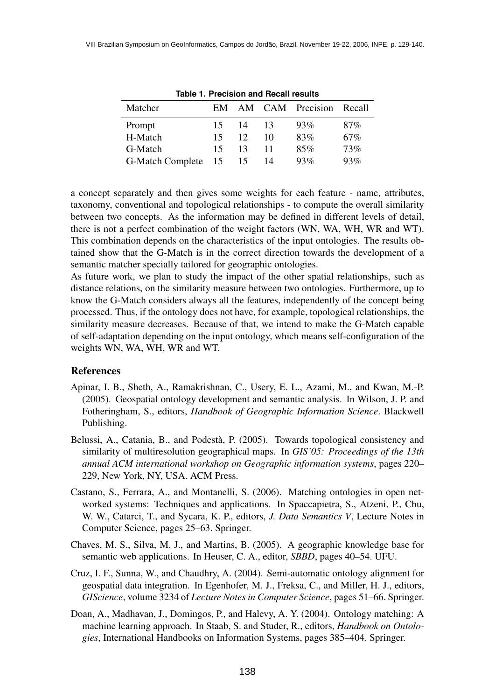| Table 1. Precision and Recall results |    |    |     |                         |
|---------------------------------------|----|----|-----|-------------------------|
| EM                                    |    |    |     |                         |
| 15                                    | 14 | 13 | 93% | 87%                     |
| 15                                    | 12 | 10 | 83% | 67%                     |
| 15                                    | 13 | 11 | 85% | 73%                     |
| 15                                    | 15 | 14 | 93% | 93%                     |
|                                       |    |    |     | AM CAM Precision Recall |

**Table 1. Precision and Recall results**

a concept separately and then gives some weights for each feature - name, attributes, taxonomy, conventional and topological relationships - to compute the overall similarity between two concepts. As the information may be defined in different levels of detail, there is not a perfect combination of the weight factors (WN, WA, WH, WR and WT). This combination depends on the characteristics of the input ontologies. The results obtained show that the G-Match is in the correct direction towards the development of a semantic matcher specially tailored for geographic ontologies.

As future work, we plan to study the impact of the other spatial relationships, such as distance relations, on the similarity measure between two ontologies. Furthermore, up to know the G-Match considers always all the features, independently of the concept being processed. Thus, if the ontology does not have, for example, topological relationships, the similarity measure decreases. Because of that, we intend to make the G-Match capable of self-adaptation depending on the input ontology, which means self-configuration of the weights WN, WA, WH, WR and WT.

#### References

- Apinar, I. B., Sheth, A., Ramakrishnan, C., Usery, E. L., Azami, M., and Kwan, M.-P. (2005). Geospatial ontology development and semantic analysis. In Wilson, J. P. and Fotheringham, S., editors, *Handbook of Geographic Information Science*. Blackwell Publishing.
- Belussi, A., Catania, B., and Podestà, P. (2005). Towards topological consistency and similarity of multiresolution geographical maps. In *GIS'05: Proceedings of the 13th annual ACM international workshop on Geographic information systems*, pages 220– 229, New York, NY, USA. ACM Press.
- Castano, S., Ferrara, A., and Montanelli, S. (2006). Matching ontologies in open networked systems: Techniques and applications. In Spaccapietra, S., Atzeni, P., Chu, W. W., Catarci, T., and Sycara, K. P., editors, *J. Data Semantics V*, Lecture Notes in Computer Science, pages 25–63. Springer.
- Chaves, M. S., Silva, M. J., and Martins, B. (2005). A geographic knowledge base for semantic web applications. In Heuser, C. A., editor, *SBBD*, pages 40–54. UFU.
- Cruz, I. F., Sunna, W., and Chaudhry, A. (2004). Semi-automatic ontology alignment for geospatial data integration. In Egenhofer, M. J., Freksa, C., and Miller, H. J., editors, *GIScience*, volume 3234 of *Lecture Notes in Computer Science*, pages 51–66. Springer.
- Doan, A., Madhavan, J., Domingos, P., and Halevy, A. Y. (2004). Ontology matching: A machine learning approach. In Staab, S. and Studer, R., editors, *Handbook on Ontologies*, International Handbooks on Information Systems, pages 385–404. Springer.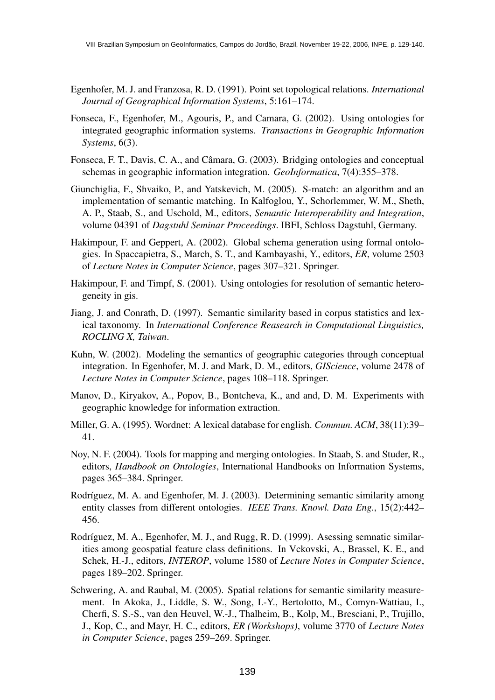- Egenhofer, M. J. and Franzosa, R. D. (1991). Point set topological relations. *International Journal of Geographical Information Systems*, 5:161–174.
- Fonseca, F., Egenhofer, M., Agouris, P., and Camara, G. (2002). Using ontologies for integrated geographic information systems. *Transactions in Geographic Information Systems*, 6(3).
- Fonseca, F. T., Davis, C. A., and Câmara, G. (2003). Bridging ontologies and conceptual schemas in geographic information integration. *GeoInformatica*, 7(4):355–378.
- Giunchiglia, F., Shvaiko, P., and Yatskevich, M. (2005). S-match: an algorithm and an implementation of semantic matching. In Kalfoglou, Y., Schorlemmer, W. M., Sheth, A. P., Staab, S., and Uschold, M., editors, *Semantic Interoperability and Integration*, volume 04391 of *Dagstuhl Seminar Proceedings*. IBFI, Schloss Dagstuhl, Germany.
- Hakimpour, F. and Geppert, A. (2002). Global schema generation using formal ontologies. In Spaccapietra, S., March, S. T., and Kambayashi, Y., editors, *ER*, volume 2503 of *Lecture Notes in Computer Science*, pages 307–321. Springer.
- Hakimpour, F. and Timpf, S. (2001). Using ontologies for resolution of semantic heterogeneity in gis.
- Jiang, J. and Conrath, D. (1997). Semantic similarity based in corpus statistics and lexical taxonomy. In *International Conference Reasearch in Computational Linguistics, ROCLING X, Taiwan*.
- Kuhn, W. (2002). Modeling the semantics of geographic categories through conceptual integration. In Egenhofer, M. J. and Mark, D. M., editors, *GIScience*, volume 2478 of *Lecture Notes in Computer Science*, pages 108–118. Springer.
- Manov, D., Kiryakov, A., Popov, B., Bontcheva, K., and and, D. M. Experiments with geographic knowledge for information extraction.
- Miller, G. A. (1995). Wordnet: A lexical database for english. *Commun. ACM*, 38(11):39– 41.
- Noy, N. F. (2004). Tools for mapping and merging ontologies. In Staab, S. and Studer, R., editors, *Handbook on Ontologies*, International Handbooks on Information Systems, pages 365–384. Springer.
- Rodríguez, M. A. and Egenhofer, M. J. (2003). Determining semantic similarity among entity classes from different ontologies. *IEEE Trans. Knowl. Data Eng.*, 15(2):442– 456.
- Rodríguez, M. A., Egenhofer, M. J., and Rugg, R. D. (1999). Asessing semnatic similarities among geospatial feature class definitions. In Vckovski, A., Brassel, K. E., and Schek, H.-J., editors, *INTEROP*, volume 1580 of *Lecture Notes in Computer Science*, pages 189–202. Springer.
- Schwering, A. and Raubal, M. (2005). Spatial relations for semantic similarity measurement. In Akoka, J., Liddle, S. W., Song, I.-Y., Bertolotto, M., Comyn-Wattiau, I., Cherfi, S. S.-S., van den Heuvel, W.-J., Thalheim, B., Kolp, M., Bresciani, P., Trujillo, J., Kop, C., and Mayr, H. C., editors, *ER (Workshops)*, volume 3770 of *Lecture Notes in Computer Science*, pages 259–269. Springer.